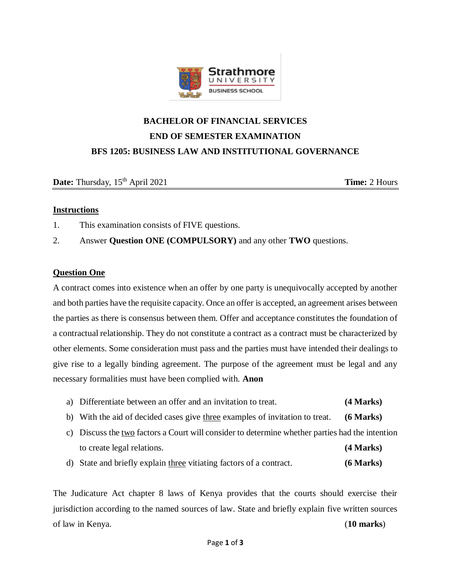

# **BACHELOR OF FINANCIAL SERVICES END OF SEMESTER EXAMINATION BFS 1205: BUSINESS LAW AND INSTITUTIONAL GOVERNANCE**

**Date:** Thursday, 15<sup>th</sup> April 2021 **Time:** 2 Hours

## **Instructions**

- 1. This examination consists of FIVE questions.
- 2. Answer **Question ONE (COMPULSORY)** and any other **TWO** questions.

## **Question One**

A contract comes into existence when an offer by one party is unequivocally accepted by another and both parties have the requisite capacity. Once an offer is accepted, an agreement arises between the parties as there is consensus between them. Offer and acceptance constitutes the foundation of a contractual relationship. They do not constitute a contract as a contract must be characterized by other elements. Some consideration must pass and the parties must have intended their dealings to give rise to a legally binding agreement. The purpose of the agreement must be legal and any necessary formalities must have been complied with. **Anon**

- a) Differentiate between an offer and an invitation to treat. **(4 Marks)**
- b) With the aid of decided cases give three examples of invitation to treat. **(6 Marks)**
- c) Discuss the two factors a Court will consider to determine whether parties had the intention to create legal relations. **(4 Marks)**
- d) State and briefly explain three vitiating factors of a contract. **(6 Marks)**

The Judicature Act chapter 8 laws of Kenya provides that the courts should exercise their jurisdiction according to the named sources of law. State and briefly explain five written sources of law in Kenya. (**10 marks**)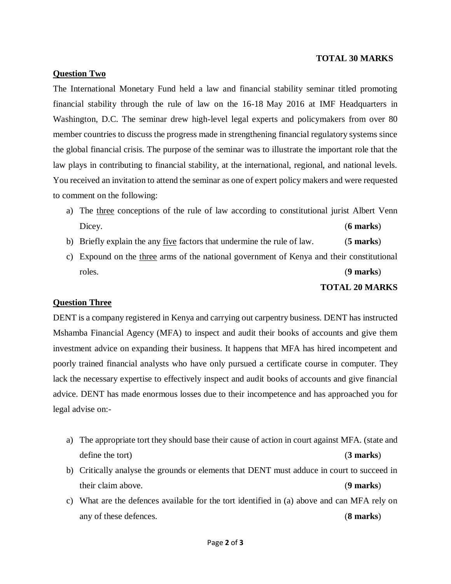#### **TOTAL 30 MARKS**

#### **Question Two**

The International Monetary Fund held a law and financial stability seminar titled promoting financial stability through the rule of law on the 16-18 May 2016 at IMF Headquarters in Washington, D.C. The seminar drew high-level legal experts and policymakers from over 80 member countries to discuss the progress made in strengthening financial regulatory systems since the global financial crisis. The purpose of the seminar was to illustrate the important role that the law plays in contributing to financial stability, at the international, regional, and national levels. You received an invitation to attend the seminar as one of expert policy makers and were requested to comment on the following:

- a) The three conceptions of the rule of law according to constitutional jurist Albert Venn Dicey. (**6 marks**)
- b) Briefly explain the any five factors that undermine the rule of law. (**5 marks**)
- c) Expound on the three arms of the national government of Kenya and their constitutional roles. (**9 marks**)

#### **TOTAL 20 MARKS**

#### **Question Three**

DENT is a company registered in Kenya and carrying out carpentry business. DENT has instructed Mshamba Financial Agency (MFA) to inspect and audit their books of accounts and give them investment advice on expanding their business. It happens that MFA has hired incompetent and poorly trained financial analysts who have only pursued a certificate course in computer. They lack the necessary expertise to effectively inspect and audit books of accounts and give financial advice. DENT has made enormous losses due to their incompetence and has approached you for legal advise on:-

- a) The appropriate tort they should base their cause of action in court against MFA. (state and define the tort) (**3 marks**)
- b) Critically analyse the grounds or elements that DENT must adduce in court to succeed in their claim above. (**9 marks**)
- c) What are the defences available for the tort identified in (a) above and can MFA rely on any of these defences. (**8 marks**)